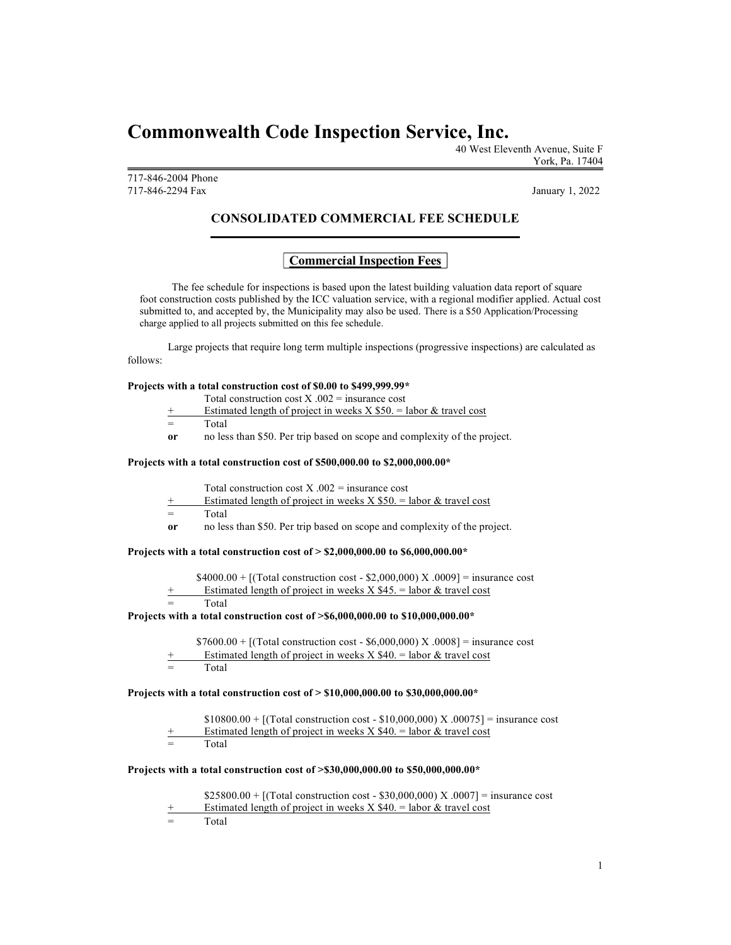# Commonwealth Code Inspection Service, Inc.

40 West Eleventh Avenue, Suite F York, Pa. 17404

717-846-2004 Phone 717-846-2294 Fax January 1, 2022

# CONSOLIDATED COMMERCIAL FEE SCHEDULE

### Commercial Inspection Fees

The fee schedule for inspections is based upon the latest building valuation data report of square foot construction costs published by the ICC valuation service, with a regional modifier applied. Actual cost submitted to, and accepted by, the Municipality may also be used. There is a \$50 Application/Processing charge applied to all projects submitted on this fee schedule.

Large projects that require long term multiple inspections (progressive inspections) are calculated as follows:

#### Projects with a total construction cost of \$0.00 to \$499,999.99\*

Total construction cost  $X .002 =$  insurance cost

- Estimated length of project in weeks  $X$  \$50. = labor & travel cost
- = Total
- or no less than \$50. Per trip based on scope and complexity of the project.

#### Projects with a total construction cost of \$500,000.00 to \$2,000,000.00\*

| Total construction cost X .002 = insurance cost |
|-------------------------------------------------|
|-------------------------------------------------|

- Estimated length of project in weeks  $X$  \$50. = labor  $&$  travel cost
	- Total
- or no less than \$50. Per trip based on scope and complexity of the project.

#### Projects with a total construction cost of > \$2,000,000.00 to \$6,000,000.00\*

 $$4000.00 + [(Total construction cost - $2,000,000) X.0009] = insurance cost$ 

- Estimated length of project in weeks  $X$  \$45. = labor & travel cost
- Total

#### Projects with a total construction cost of >\$6,000,000.00 to \$10,000,000.00\*

 $$7600.00 + [(Total construction cost - $6,000,000) X.0008] = insurance cost$ Estimated length of project in weeks X  $$40. =$  labor & travel cost

**Total** 

#### Projects with a total construction cost of > \$10,000,000.00 to \$30,000,000.00\*

| $$10800.00 + [(Total construction cost - $10,000,000) X.00075] =$ insurance cost |
|----------------------------------------------------------------------------------|
| Estimated length of project in weeks $X$ \$40. = labor & travel cost             |

**Total** 

#### Projects with a total construction cost of >\$30,000,000.00 to \$50,000,000.00\*

 $$25800.00 + [(Total construction cost - $30,000,000) X .0007] = insurance cost$ 

Estimated length of project in weeks  $X$  \$40. = labor & travel cost

Total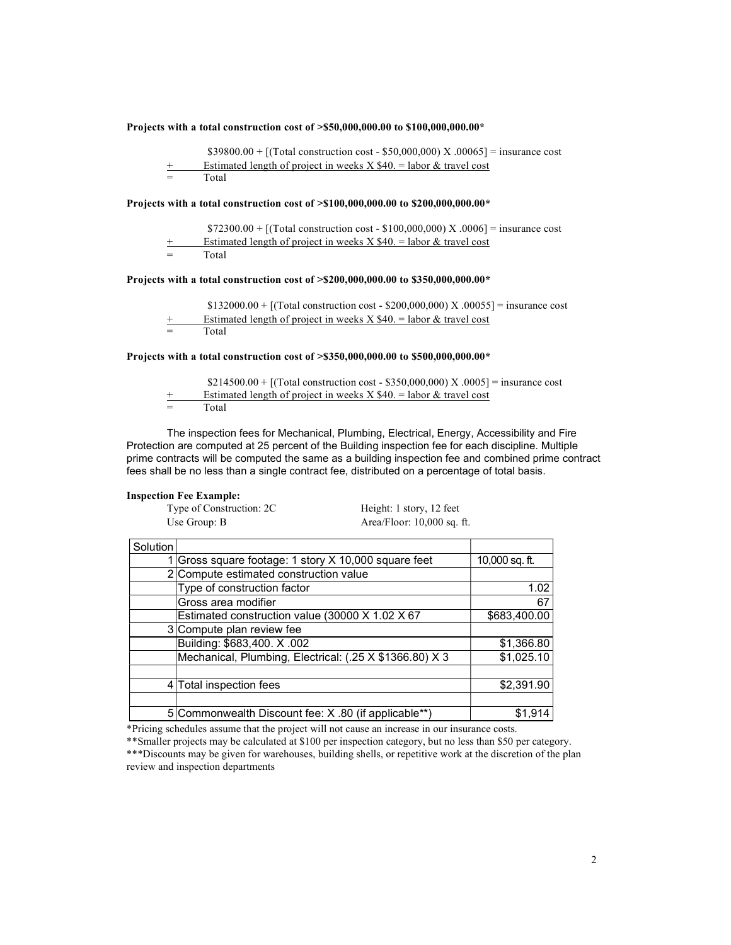#### Projects with a total construction cost of >\$50,000,000.00 to \$100,000,000.00\*

 $$39800.00 + [(Total construction cost - $50,000,000) X .00065] = insurance cost$ Estimated length of project in weeks  $X$  \$40. = labor & travel cost **Total** 

#### Projects with a total construction cost of >\$100,000,000.00 to \$200,000,000.00\*

| \$72300.00 + [(Total construction cost - \$100,000,000) X.0006] = insurance cost |
|----------------------------------------------------------------------------------|
| Estimated length of project in weeks $X$ \$40. = labor & travel cost             |

**Total** 

#### Projects with a total construction cost of >\$200,000,000.00 to \$350,000,000.00\*

 $$132000.00 + [(Total construction cost - $200,000,000) X.00055] = insurance cost$ Estimated length of project in weeks X  $$40. =$  labor & travel cost Total

# Projects with a total construction cost of >\$350,000,000.00 to \$500,000,000.00\*

 $$214500.00 + [(Total construction cost - $350,000,000) X.0005] = insurance cost$ Estimated length of project in weeks  $X$  \$40. = labor & travel cost **Total** 

The inspection fees for Mechanical, Plumbing, Electrical, Energy, Accessibility and Fire Protection are computed at 25 percent of the Building inspection fee for each discipline. Multiple prime contracts will be computed the same as a building inspection fee and combined prime contract fees shall be no less than a single contract fee, distributed on a percentage of total basis.

#### Inspection Fee Example:

| Type of Construction: 2C | Height: 1 story, 12 feet     |
|--------------------------|------------------------------|
| Use Group: B             | Area/Floor: $10,000$ sq. ft. |

| Solution |                                                                           |                |
|----------|---------------------------------------------------------------------------|----------------|
|          | 1 Gross square footage: 1 story X 10,000 square feet                      | 10,000 sq. ft. |
|          | 2 Compute estimated construction value                                    |                |
|          | Type of construction factor                                               | 1.02           |
|          | Gross area modifier                                                       | 67             |
|          | Estimated construction value (30000 $\overline{X}$ 1.02 $\overline{X}$ 67 | \$683,400.00   |
|          | 3 Compute plan review fee                                                 |                |
|          | Building: \$683,400. X .002                                               | \$1,366.80     |
|          | Mechanical, Plumbing, Electrical: (.25 X \$1366.80) X 3                   | \$1,025.10     |
|          | 4 Total inspection fees                                                   | \$2,391.90     |
|          |                                                                           |                |
|          | 5 Commonwealth Discount fee: X .80 (if applicable**)                      | \$1.91         |

\*Pricing schedules assume that the project will not cause an increase in our insurance costs.

\*\*Smaller projects may be calculated at \$100 per inspection category, but no less than \$50 per category. \*\*\*Discounts may be given for warehouses, building shells, or repetitive work at the discretion of the plan review and inspection departments